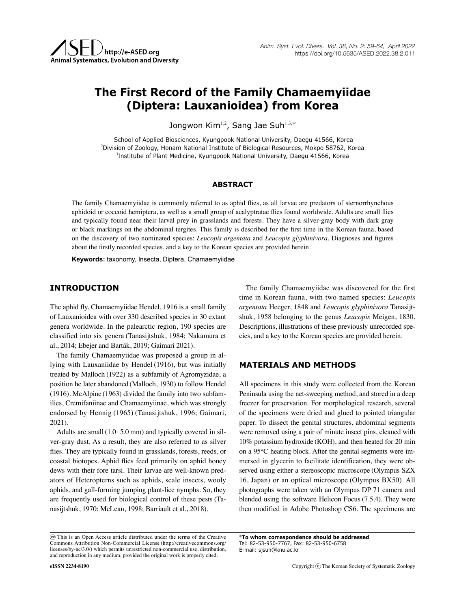# **The First Record of the Family Chamaemyiidae (Diptera: Lauxanioidea) from Korea**

Jongwon Kim<sup>1,2</sup>, Sang Jae Suh<sup>1,3,\*</sup>

1 School of Applied Biosciences, Kyungpook National University, Daegu 41566, Korea 2 Division of Zoology, Honam National Institute of Biological Resources, Mokpo 58762, Korea 3 Institube of Plant Medicine, Kyungpook National University, Daegu 41566, Korea

## **ABSTRACT**

The family Chamaemyiidae is commonly referred to as aphid flies, as all larvae are predators of sternorrhynchous aphidoid or coccoid hemiptera, as well as a small group of acalyptratae flies found worldwide. Adults are small flies and typically found near their larval prey in grasslands and forests. They have a silver-gray body with dark gray or black markings on the abdominal tergites. This family is described for the first time in the Korean fauna, based on the discovery of two nominated species: *Leucopis argentata* and *Leucopis glyphinivora*. Diagnoses and figures about the firstly recorded species, and a key to the Korean species are provided herein.

**Keywords:** taxonomy, Insecta, Diptera, Chamaemyiidae

# **INTRODUCTION**

The aphid fly, Chamaemyiidae Hendel, 1916 is a small family of Lauxanioidea with over 330 described species in 30 extant genera worldwide. In the palearctic region, 190 species are classified into six genera (Tanasijtshuk, 1984; Nakamura et al., 2014; Ebejer and Barták, 2019; Gaimari 2021).

The family Chamaemyiidae was proposed a group in allying with Lauxaniidae by Hendel (1916), but was initially treated by Malloch (1922) as a subfamily of Agromyzidae, a position he later abandoned (Malloch, 1930) to follow Hendel (1916). McAlpine (1963) divided the family into two subfamilies, Cremifaniinae and Chamaemyiinae, which was strongly endorsed by Hennig (1965) (Tanasijtshuk, 1996; Gaimari, 2021).

Adults are small (1.0-5.0 mm) and typically covered in silver-gray dust. As a result, they are also referred to as silver flies. They are typically found in grasslands, forests, reeds, or coastal biotopes. Aphid flies feed primarily on aphid honey dews with their fore tarsi. Their larvae are well-known predators of Heteropterns such as aphids, scale insects, wooly aphids, and gall-forming jumping plant-lice nymphs. So, they are frequently used for biological control of these pests (Tanasijtshuk, 1970; McLean, 1998; Barriault et al., 2018).

The family Chamaemyiidae was discovered for the first time in Korean fauna, with two named species: *Leucopis argentata* Heeger, 1848 and *Leucopis glyphinivora* Tanasijtshuk, 1958 belonging to the genus *Leucopis* Meigen, 1830. Descriptions, illustrations of these previously unrecorded species, and a key to the Korean species are provided herein.

## **MATERIALS AND METHODS**

All specimens in this study were collected from the Korean Peninsula using the net-sweeping method, and stored in a deep freezer for preservation. For morphological research, several of the specimens were dried and glued to pointed triangular paper. To dissect the genital structures, abdominal segments were removed using a pair of minute insect pins, cleaned with 10% potassium hydroxide (KOH), and then heated for 20 min on a 95°C heating block. After the genital segments were immersed in glycerin to facilitate identification, they were observed using either a stereoscopic microscope (Olympus SZX 16, Japan) or an optical microscope (Olympus BX50). All photographs were taken with an Olympus DP 71 camera and blended using the software Helicon Focus (7.5.4). They were then modified in Adobe Photoshop CS6. The specimens are

Tel: 82-53-950-7767, Fax: 82-53-950-6758 E-mail: [sjsuh@knu.ac.kr](mailto:sjsuh@knu.ac.kr)

\***To whom correspondence should be addressed**

This is an Open Access article distributed under the terms of the Creative Commons Attribution Non-Commercial License (http://creativecommons.org/ licenses/by-nc/3.0/) which permits unrestricted non-commercial use, distribution, and reproduction in any medium, provided the original work is properly cited.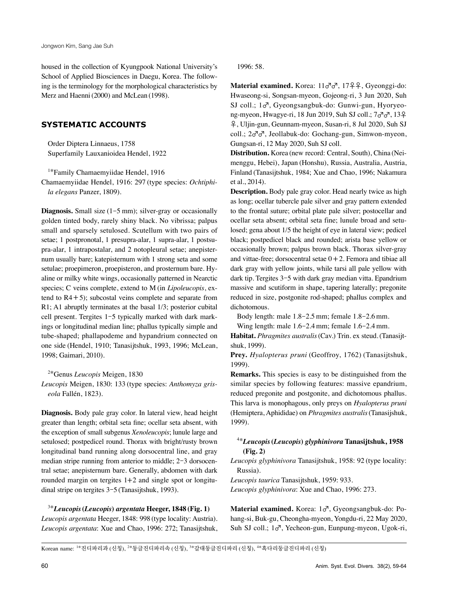housed in the collection of Kyungpook National University's School of Applied Biosciences in Daegu, Korea. The following is the terminology for the morphological characteristics by Merz and Haenni(2000) and McLean (1998).

# **SYSTEMATIC ACCOUNTS**

Order Diptera Linnaeus, 1758 Superfamily Lauxanioidea Hendel, 1922

<sup>1</sup>\*Family Chamaemyiidae Hendel, 1916

Chamaemyiidae Hendel, 1916: 297 (type species: *Ochtiphila elegans* Panzer, 1809).

Diagnosis. Small size (1-5 mm); silver-gray or occasionally golden tinted body, rarely shiny black. No vibrissa; palpus small and sparsely setulosed. Scutellum with two pairs of setae; 1 postpronotal, 1 presupra-alar, 1 supra-alar, 1 postsupra-alar, 1 intrapostalar, and 2 notopleural setae; anepisternum usually bare; katepisternum with 1 strong seta and some setulae; proepimeron, proepisteron, and prosternum bare. Hyaline or milky white wings, occasionally patterned in Nearctic species; C veins complete, extend to M (in *Lipoleucopis*, extend to  $R4 + 5$ ); subcostal veins complete and separate from R1; A1 abruptly terminates at the basal 1/3; posterior cubital cell present. Tergites 1-5 typically marked with dark markings or longitudinal median line; phallus typically simple and tube-shaped; phallapodeme and hypandrium connected on one side (Hendel, 1910; Tanasijtshuk, 1993, 1996; McLean, 1998; Gaimari, 2010).

<sup>2</sup>\*Genus *Leucopis* Meigen, 1830

*Leucopis* Meigen, 1830: 133 (type species: *Anthomyza griseola* Fallén, 1823).

**Diagnosis.** Body pale gray color. In lateral view, head height greater than length; orbital seta fine; ocellar seta absent, with the exception of small subgenus *Xenoleucopis*; lunule large and setulosed; postpedicel round. Thorax with bright/rusty brown longitudinal band running along dorsocentral line, and gray median stripe running from anterior to middle; 2-3 dorsocentral setae; anepisternum bare. Generally, abdomen with dark rounded margin on tergites  $1+2$  and single spot or longitudinal stripe on tergites 3-5 (Tanasijtshuk, 1993).

<sup>3</sup>\**Leucopis***(***Leucopis***)** *argentata* **Heeger, 1848 (Fig. 1)** *Leucopis argentata* Heeger, 1848: 998 (type locality: Austria). *Leucopis argentata*: Xue and Chao, 1996: 272; Tanasijtshuk, 1996: 58.

**Material examined.** Korea: 11♂♂, 17♀♀, Gyeonggi-do: Hwaseong-si, Songsan-myeon, Gojeong-ri, 3 Jun 2020, Suh SJ coll.; 1♂, Gyeongsangbuk-do: Gunwi-gun, Hyoryeong-myeon, Hwagye-ri, 18 Jun 2019, Suh SJ coll.; 7♂♂, 13♀ ♀, Uljin-gun, Geunnam-myeon, Susan-ri, 8 Jul 2020, Suh SJ coll.; 2♂♂, Jeollabuk-do: Gochang-gun, Simwon-myeon, Gungsan-ri, 12 May 2020, Suh SJ coll.

**Distribution.** Korea (new record: Central, South), China (Neimenggu, Hebei), Japan (Honshu), Russia, Australia, Austria, Finland (Tanasijtshuk, 1984; Xue and Chao, 1996; Nakamura et al., 2014).

**Description.** Body pale gray color. Head nearly twice as high as long; ocellar tubercle pale silver and gray pattern extended to the frontal suture; orbital plate pale silver; postocellar and ocellar seta absent; orbital seta fine; lunule broad and setulosed; gena about 1/5 the height of eye in lateral view; pedicel black; postpedicel black and rounded; arista base yellow or occasionally brown; palpus brown black. Thorax silver-gray and vittae-free; dorsocentral setae  $0+2$ . Femora and tibiae all dark gray with yellow joints, while tarsi all pale yellow with dark tip. Tergites 3-5 with dark gray median vitta. Epandrium massive and scutiform in shape, tapering laterally; pregonite reduced in size, postgonite rod-shaped; phallus complex and dichotomous.

Body length: male 1.8-2.5 mm; female 1.8-2.6 mm.

Wing length: male 1.6-2.4 mm; female 1.6-2.4 mm.

**Habitat.** *Phragmites australis*(Cav.) Trin. ex steud.(Tanasijtshuk, 1999).

**Prey.** *Hyalopterus pruni* (Geoffroy, 1762) (Tanasijtshuk, 1999).

**Remarks.** This species is easy to be distinguished from the similar species by following features: massive epandrium, reduced pregonite and postgonite, and dichotomous phallus. This larva is monophagous, only preys on *Hyalopterus pruni* (Hemiptera, Aphididae) on *Phragmites australis*(Tanasijshuk, 1999).

# <sup>4</sup>\**Leucopis***(***Leucopis***)** *glyphinivora* **Tanasijtshuk, 1958 (Fig. 2)**

*Leucopis glyphinivora* Tanasijtshuk, 1958: 92 (type locality: Russia).

*Leucopis taurica* Tanasijtshuk, 1959: 933.

*Leucopis glyphinivora*: Xue and Chao, 1996: 273.

**Material examined.** Korea: 1♂, Gyeongsangbuk-do: Pohang-si, Buk-gu, Cheongha-myeon, Yongdu-ri, 22 May 2020, Suh SJ coll.; 1♂, Yecheon-gun, Eunpung-myeon, Ugok-ri,

Korean name:  $1*$ 진디파리과 (신칭),  $2*$ 둥글진디파리속 (신칭),  $3*$ 갈대둥글진디파리 (신칭),  $4*$ 흑다리둥글진디파리 (신칭)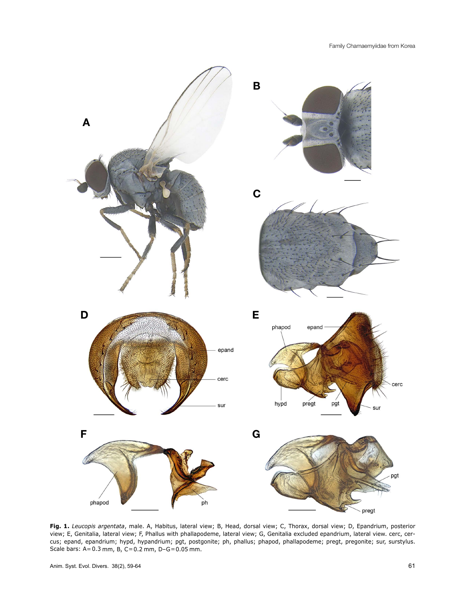

**Fig. 1.** *Leucopis argentata*, male. A, Habitus, lateral view; B, Head, dorsal view; C, Thorax, dorsal view; D, Epandrium, posterior view; E, Genitalia, lateral view; F, Phallus with phallapodeme, lateral view; G, Genitalia excluded epandrium, lateral view. cerc, cercus; epand, epandrium; hypd, hypandrium; pgt, postgonite; ph, phallus; phapod, phallapodeme; pregt, pregonite; sur, surstylus. Scale bars:  $A = 0.3$  mm,  $B$ ,  $C = 0.2$  mm,  $D - G = 0.05$  mm.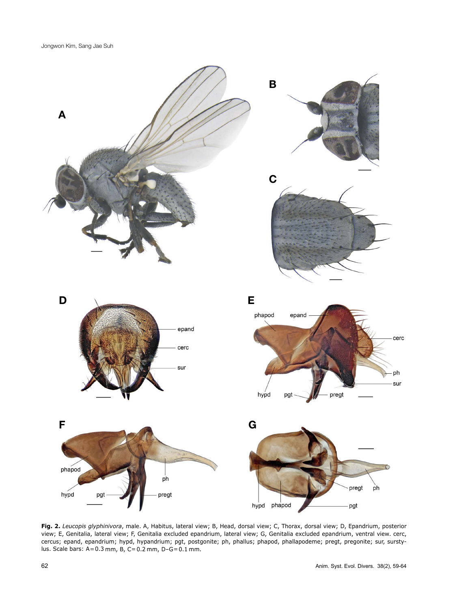

**Fig. 2.** *Leucopis glyphinivora*, male. A, Habitus, lateral view; B, Head, dorsal view; C, Thorax, dorsal view; D, Epandrium, posterior view; E, Genitalia, lateral view; F, Genitalia excluded epandrium, lateral view; G, Genitalia excluded epandrium, ventral view. cerc, cercus; epand, epandrium; hypd, hypandrium; pgt, postgonite; ph, phallus; phapod, phallapodeme; pregt, pregonite; sur, surstylus. Scale bars: A=0.3 mm, B, C=0.2 mm, D-G=0.1 mm.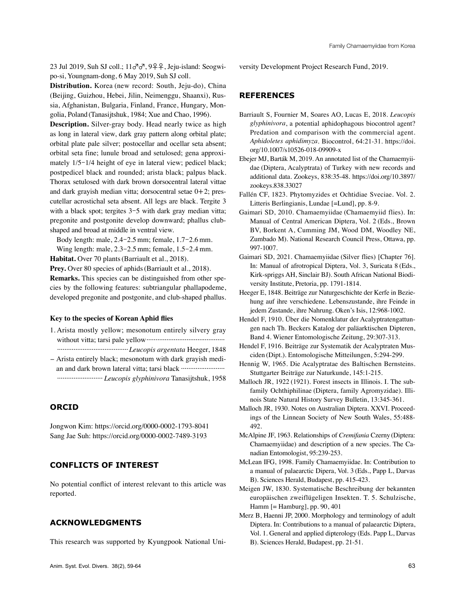23 Jul 2019, Suh SJ coll.; 11♂♂, 9♀♀, Jeju-island: Seogwipo-si, Youngnam-dong, 6 May 2019, Suh SJ coll.

**Distribution.** Korea (new record: South, Jeju-do), China (Beijing, Guizhou, Hebei, Jilin, Neimenggu, Shaanxi), Russia, Afghanistan, Bulgaria, Finland, France, Hungary, Mongolia, Poland (Tanasijtshuk, 1984; Xue and Chao, 1996).

**Description.** Silver-gray body. Head nearly twice as high as long in lateral view, dark gray pattern along orbital plate; orbital plate pale silver; postocellar and ocellar seta absent; orbital seta fine; lunule broad and setulosed; gena approximately 1/5-1/4 height of eye in lateral view; pedicel black; postpedicel black and rounded; arista black; palpus black. Thorax setulosed with dark brown dorsocentral lateral vittae and dark grayish median vitta; dorsocentral setae  $0+2$ ; prescutellar acrostichal seta absent. All legs are black. Tergite 3 with a black spot; tergites 3-5 with dark gray median vitta; pregonite and postgonite develop downward; phallus clubshaped and broad at middle in ventral view.

Body length: male, 2.4-2.5 mm; female, 1.7-2.6 mm. Wing length: male, 2.3-2.5 mm; female, 1.5-2.4 mm.

**Habitat.** Over 70 plants(Barriault et al., 2018).

Prey. Over 80 species of aphids (Barriault et al., 2018).

**Remarks.** This species can be distinguished from other species by the following features: subtriangular phallapodeme, developed pregonite and postgonite, and club-shaped phallus.

#### **Key to the species of Korean Aphid flies**

- 1. Arista mostly yellow; mesonotum entirely silvery gray without vitta; tarsi pale yellow··········································· ·······································*Leucopis argentata* Heeger, 1848
- -Arista entirely black; mesonotum with dark grayish median and dark brown lateral vitta; tarsi black ····························· ························· *Leucopis glyphinivora* Tanasijtshuk, 1958

## **ORCID**

Jongwon Kim: https://orcid.org/0000-0002-1793-8041 Sang Jae Suh: https://orcid.org/0000-0002-7489-3193

# **CONFLICTS OF INTEREST**

No potential conflict of interest relevant to this article was reported.

## **ACKNOWLEDGMENTS**

This research was supported by Kyungpook National Uni-

versity Development Project Research Fund, 2019.

## **REFERENCES**

- Barriault S, Fournier M, Soares AO, Lucas E, 2018. *Leucopis glyphinivora*, a potential aphidophagous biocontrol agent? Predation and comparison with the commercial agent. *Aphidoletes aphidimyza*. Biocontrol, 64:21-31. https://doi. org/10.1007/s10526-018-09909-x
- Ebejer MJ, Barták M, 2019. An annotated list of the Chamaemyiidae (Diptera, Acalyptrata) of Turkey with new records and additional data. Zookeys, 838:35-48. https://doi.org/10.3897/ zookeys.838.33027
- Fallén CF, 1823. Phytomyzides et Ochtidiae Sveciae. Vol. 2. Litteris Berlingianis, Lundae [=Lund], pp. 8-9.
- Gaimari SD, 2010. Chamaemyiidae (Chamaemyiid flies). In: Manual of Central American Diptera, Vol. 2 (Eds., Brown BV, Borkent A, Cumming JM, Wood DM, Woodley NE, Zumbado M). National Research Council Press, Ottawa, pp. 997-1007.
- Gaimari SD, 2021. Chamaemyiidae (Silver flies) [Chapter 76]. In: Manual of afrotropical Diptera, Vol. 3, Suricata 8 (Eds., Kirk-spriggs AH, Sinclair BJ). South African National Biodiversity Institute, Pretoria, pp. 1791-1814.
- Heeger E, 1848. Beiträge zur Naturgeschichte der Kerfe in Beziehung auf ihre verschiedene. Lebenszustande, ihre Feinde in jedem Zustande, ihre Nahrung. Oken's Isis, 12:968-1002.
- Hendel F, 1910. Über die Nomenklatur der Acalyptratengattungen nach Th. Beckers Katalog der paläarktischen Dipteren, Band 4. Wiener Entomologische Zeitung, 29:307-313.
- Hendel F, 1916. Beiträge zur Systematik der Acalyptraten Musciden (Dipt.). Entomologische Mitteilungen, 5:294-299.
- Hennig W, 1965. Die Acalyptratae des Baltischen Bernsteins. Stuttgarter Beiträge zur Naturkunde, 145:1-215.
- Malloch JR, 1922 (1921). Forest insects in Illinois. I. The subfamily Ochthiphilinae (Diptera, family Agromyzidae). Illinois State Natural History Survey Bulletin, 13:345-361.
- Malloch JR, 1930. Notes on Australian Diptera. XXVI. Proceedings of the Linnean Society of New South Wales, 55:488- 492.
- McAlpine JF, 1963. Relationships of *Cremifania* Czerny (Diptera: Chamaemyiidae) and description of a new species. The Canadian Entomologist, 95:239-253.
- McLean IFG, 1998. Family Chamaemyiidae. In: Contribution to a manual of palaearctic Dipera, Vol. 3 (Eds., Papp L, Darvas B). Sciences Herald, Budapest, pp. 415-423.
- Meigen JW, 1830. Systematische Beschreibung der bekannten europäischen zweiflügeligen Insekten. T. 5. Schulzische, Hamm [= Hamburg], pp. 90, 401
- Merz B, Haenni JP, 2000. Morphology and terminology of adult Diptera. In: Contributions to a manual of palaearctic Diptera, Vol. 1. General and applied dipterology (Eds. Papp L, Darvas B). Sciences Herald, Budapest, pp. 21-51.